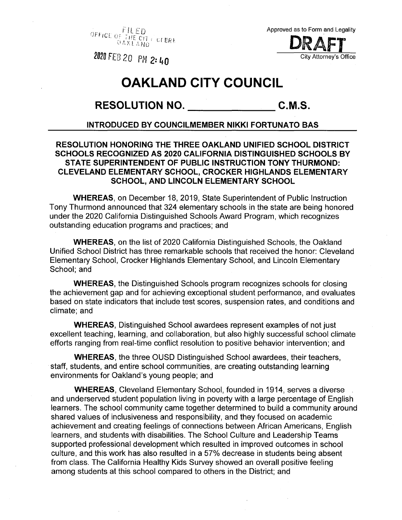*Flifn Of* Ttff'ci] -XL <sup>A</sup> *HO* t.i *tmt*

Approved as to Form and Legality **D** City Attorney's Office

**®u** *FEB 20 PM 2:* **(,0**

## **OAKLAND CITY COUNCIL**

## **RESOLUTION NO. C.M.S.**

## **INTRODUCED BY COUNCILMEMBER NIKKI FORTUNATO BAS**

## **RESOLUTION HONORING THE THREE OAKLAND UNIFIED SCHOOL DISTRICT SCHOOLS RECOGNIZED AS 2020 CALIFORNIA DISTINGUISHED SCHOOLS BY STATE SUPERINTENDENT OF PUBLIC INSTRUCTION TONY THURMOND: CLEVELAND ELEMENTARY SCHOOL, CROCKER HIGHLANDS ELEMENTARY SCHOOL, AND LINCOLN ELEMENTARY SCHOOL**

**WHEREAS,** on December 18, 2019, State Superintendent of Public Instruction Tony Thurmond announced that 324 elementary schools in the state are being honored under the 2020 California Distinguished Schools Award Program, which recognizes outstanding education programs and practices; and

**WHEREAS,** on the list of 2020 California Distinguished Schools, the Oakland Unified School District has three remarkable schools that received the honor: Cleveland Elementary School, Crocker Highlands Elementary School, and Lincoln Elementary School; and

**WHEREAS,** the Distinguished Schools program recognizes schools for closing the achievement gap and for achieving exceptional student performance, and evaluates based on state indicators that include test scores, suspension rates, and conditions and climate; and

**WHEREAS,** Distinguished School awardees represent examples of not just excellent teaching, learning, and collaboration, but also highly successful school climate efforts ranging from real-time conflict resolution to positive behavior intervention; and

**WHEREAS,** the three OUSD Distinguished School awardees, their teachers, staff, students, and entire school communities, are creating outstanding learning environments for Oakland's young people; and

**WHEREAS,** Cleveland Elementary School, founded in 1914, serves a diverse and underserved student population living in poverty with a large percentage of English learners. The school community came together determined to build a community around shared values of inclusiveness and responsibility, and they focused on academic achievement and creating feelings of connections between African Americans, English learners, and students with disabilities. The School Culture and Leadership Teams supported professional development which resulted in improved outcomes in school culture, and this work has also resulted in a 57% decrease in students being absent from class. The California Healthy Kids Survey showed an overall positive feeling among students at this school compared to others in the District; and